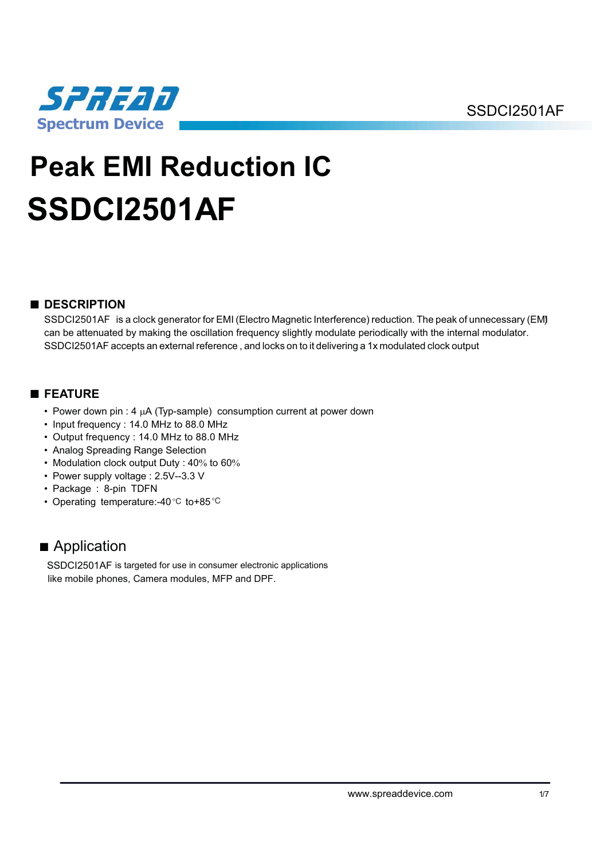

# **Peak EMI Reduction IC SSDCI2501AF**

# ■ **DESCRIPTION**

SSDCI2501AF is a clock generator for EMI (Electro Magnetic Interference) reduction. The peak of unnecessary (EM) can be attenuated by making the oscillation frequency slightly modulate periodically with the internal modulator. SSDCI2501AF accepts an external reference , and locks on to it delivering a 1x modulated clock output

# ■ **FEATURE**

- Power down pin : 4  $\mu$ A (Typ-sample) consumption current at power down
- Input frequency : 14.0 MHz to 88.0 MHz
- Output frequency : 14.0 MHz to 88.0 MHz
- Analog Spreading Range Selection
- Modulation clock output Duty :  $40\%$  to  $60\%$
- Power supply voltage : 2.5V--3.3 V
- Package : 8-pin TDFN
- Operating temperature:-40 $\degree$ C to+85 $\degree$ C

# ■ Application

SSDCI2501AF is targeted for use in consumer electronic applications like mobile phones, Camera modules, MFP and DPF.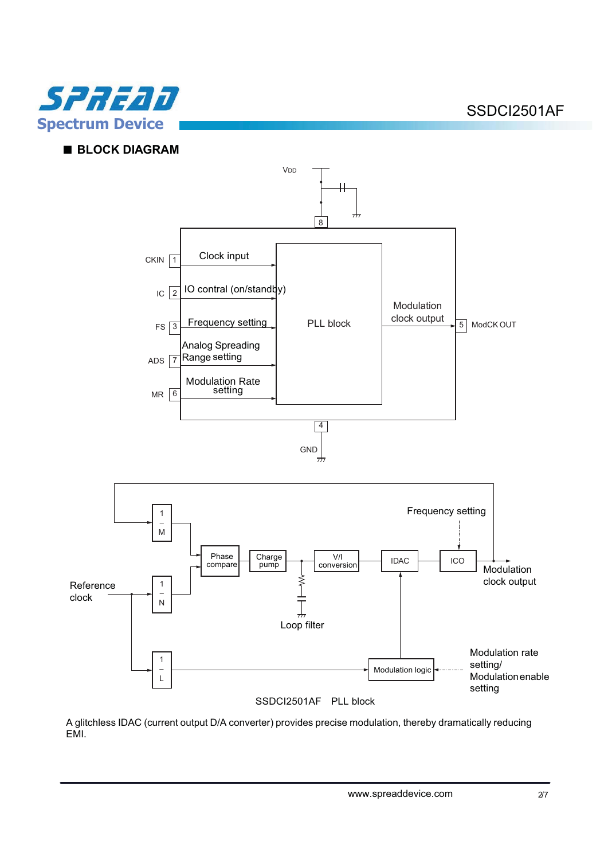

# ■ **BLOCK DIAGRAM**



SSDCI2501AF PLL block

A glitchless IDAC (current output D/A converter) provides precise modulation, thereby dramatically reducing EMI.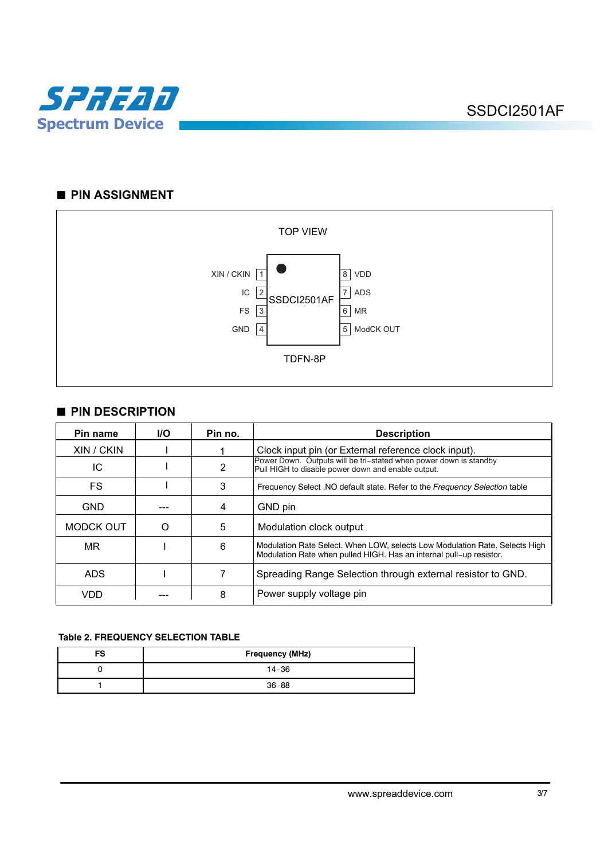

# ■ **PIN ASSIGNMENT**



# ■ **PIN DESCRIPTION**

| Pin name   | <b>I/O</b> | Pin no. | <b>Description</b>                                                                                                                                 |
|------------|------------|---------|----------------------------------------------------------------------------------------------------------------------------------------------------|
| XIN / CKIN |            |         | Clock input pin (or External reference clock input).                                                                                               |
| IC         |            | 2       | Power Down. Outputs will be tri-stated when power down is standby<br>Pull HIGH to disable power down and enable output.                            |
| FS         |            | 3       | Frequency Select .NO default state. Refer to the Frequency Selection table                                                                         |
| <b>GND</b> |            | 4       | GND pin                                                                                                                                            |
| MODCK OUT  | O          | 5       | Modulation clock output                                                                                                                            |
| <b>MR</b>  |            | 6       | Modulation Rate Select. When LOW, selects Low Modulation Rate. Selects High<br>Modulation Rate when pulled HIGH. Has an internal pull-up resistor. |
| <b>ADS</b> |            |         | Spreading Range Selection through external resistor to GND.                                                                                        |
| VDD        |            | 8       | Power supply voltage pin                                                                                                                           |

#### **Table 2. FREQUENCY SELECTION TABLE**

| FS | Frequency (MHz) |  |  |
|----|-----------------|--|--|
|    | $14 - 36$       |  |  |
|    | $36 - 88$       |  |  |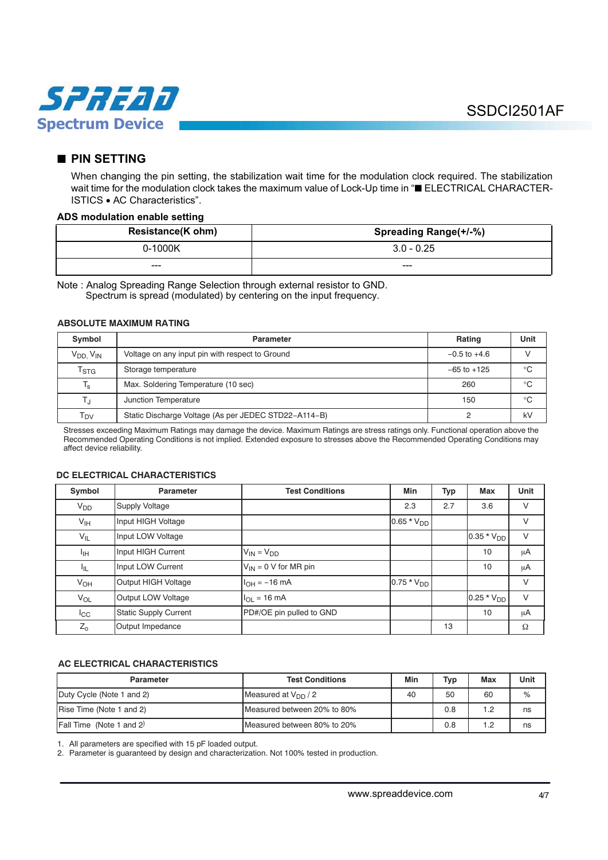

## ■ **PIN SETTING**

When changing the pin setting, the stabilization wait time for the modulation clock required. The stabilization wait time for the modulation clock takes the maximum value of Lock-Up time in "■ ELECTRICAL CHARACTER-ISTICS . AC Characteristics".

#### **ADS modulation enable setting**

| <b>Resistance(K ohm)</b> | Spreading Range(+/-%) |  |
|--------------------------|-----------------------|--|
| 0-1000K                  | $3.0 - 0.25$          |  |
| ---                      | ---                   |  |

Note : Analog Spreading Range Selection through external resistor to GND. Spectrum is spread (modulated) by centering on the input frequency.

#### **ABSOLUTE MAXIMUM RATING**

| Symbol                      | Parameter                                            | Rating           | Unit        |
|-----------------------------|------------------------------------------------------|------------------|-------------|
| $V_{DD}$ , $V_{IN}$         | Voltage on any input pin with respect to Ground      | $-0.5$ to $+4.6$ |             |
| $\mathsf{T}_{\textsf{STG}}$ | Storage temperature                                  | $-65$ to $+125$  | $^{\circ}C$ |
| $T_{\rm s}$                 | Max. Soldering Temperature (10 sec)                  | 260              | °C          |
| T,                          | Junction Temperature                                 | 150              | $^{\circ}C$ |
| T <sub>DV</sub>             | Static Discharge Voltage (As per JEDEC STD22-A114-B) |                  | kV          |

Stresses exceeding Maximum Ratings may damage the device. Maximum Ratings are stress ratings only. Functional operation above the Recommended Operating Conditions is not implied. Extended exposure to stresses above the Recommended Operating Conditions may affect device reliability.

#### **DC ELECTRICAL CHARACTERISTICS**

| Symbol                | <b>Parameter</b>             | <b>Test Conditions</b>    | Min             | <b>Typ</b> | <b>Max</b>      | Unit    |
|-----------------------|------------------------------|---------------------------|-----------------|------------|-----------------|---------|
| <b>V<sub>DD</sub></b> | <b>Supply Voltage</b>        |                           | 2.3             | 2.7        | 3.6             | $\vee$  |
| V <sub>IH</sub>       | Input HIGH Voltage           |                           | $0.65 * V_{DD}$ |            |                 | V       |
| $V_{IL}$              | Input LOW Voltage            |                           |                 |            | $0.35 * V_{DD}$ | $\vee$  |
| ŀщ                    | Input HIGH Current           | $V_{IN} = V_{DD}$         |                 |            | 10              | μA      |
| ŀμ                    | Input LOW Current            | $V_{IN}$ = 0 V for MR pin |                 |            | 10              | μA      |
| V <sub>OH</sub>       | Output HIGH Voltage          | $I_{OH} = -16$ mA         | $0.75 * VDD$    |            |                 | $\vee$  |
| $V_{OL}$              | Output LOW Voltage           | $I_{OL}$ = 16 mA          |                 |            | $0.25 * V_{DD}$ | $\vee$  |
| $_{\rm lcc}$          | <b>Static Supply Current</b> | PD#/OE pin pulled to GND  |                 |            | 10              | $\mu$ A |
| $Z_{o}$               | Output Impedance             |                           |                 | 13         |                 | Ω       |

#### **AC ELECTRICAL CHARACTERISTICS**

| <b>Parameter</b>          | <b>Test Conditions</b>      | Min | Typ | Max | Unit |
|---------------------------|-----------------------------|-----|-----|-----|------|
| Duty Cycle (Note 1 and 2) | Measured at $V_{DD}$ / 2    | 40  | 50  | 60  | %    |
| Rise Time (Note 1 and 2)  | Measured between 20% to 80% |     | 0.8 | 1.2 | ns   |
| Fall Time (Note 1 and 2)  | Measured between 80% to 20% |     | 0.8 | 1.2 | ns   |

1. All parameters are specified with 15 pF loaded output.

2. Parameter is guaranteed by design and characterization. Not 100% tested in production.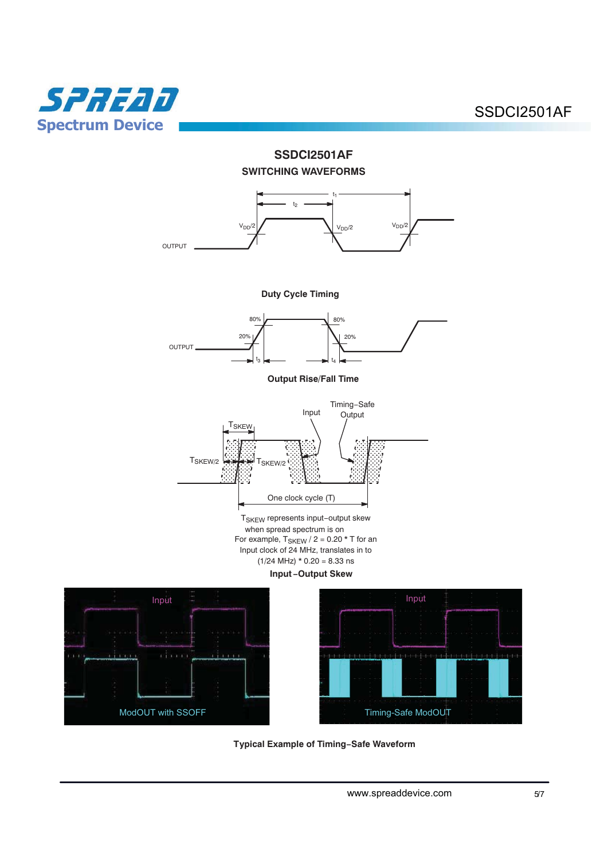







 **Typical Example of Timing-Safe Waveform**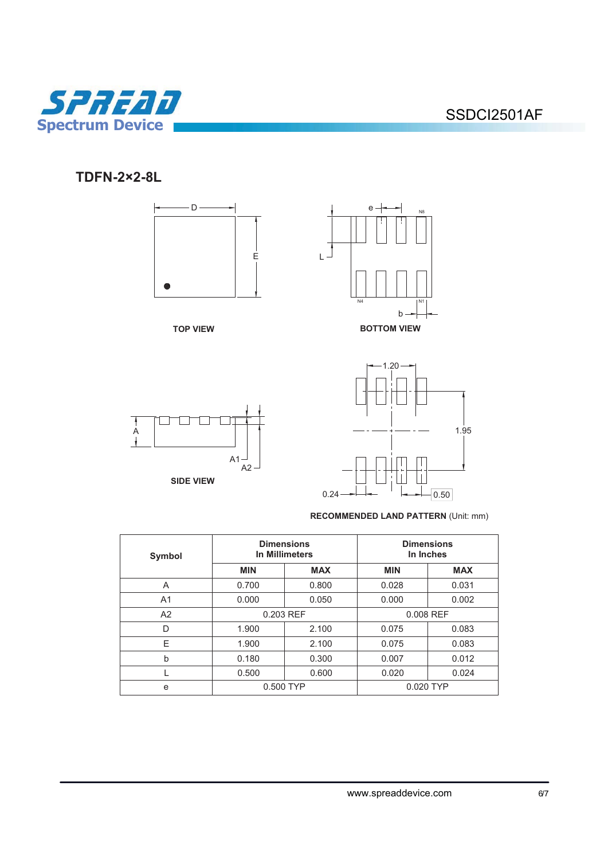

**TDFN-2×2-8L** 





### **RECOMMENDED LAND PATTERN** (Unit: mm)

1.95

 $0.24 \rightarrow + \rightarrow$   $\rightarrow$  0.50

| Symbol         | <b>Dimensions</b><br>In Millimeters |            | <b>Dimensions</b><br>In Inches |            |  |
|----------------|-------------------------------------|------------|--------------------------------|------------|--|
|                | <b>MIN</b>                          | <b>MAX</b> | <b>MIN</b>                     | <b>MAX</b> |  |
| A              | 0.700                               | 0.800      | 0.028                          | 0.031      |  |
| A <sub>1</sub> | 0.000                               | 0.050      | 0.000                          | 0.002      |  |
| A2             | 0.203 REF                           |            | 0.008 REF                      |            |  |
| D              | 1.900                               | 2.100      | 0.075                          | 0.083      |  |
| Е              | 1.900                               | 2.100      | 0.075                          | 0.083      |  |
| b              | 0.180                               | 0.300      | 0.007                          | 0.012      |  |
|                | 0.500                               | 0.600      | 0.020                          | 0.024      |  |
| e              | 0.500 TYP                           |            | 0.020 TYP                      |            |  |